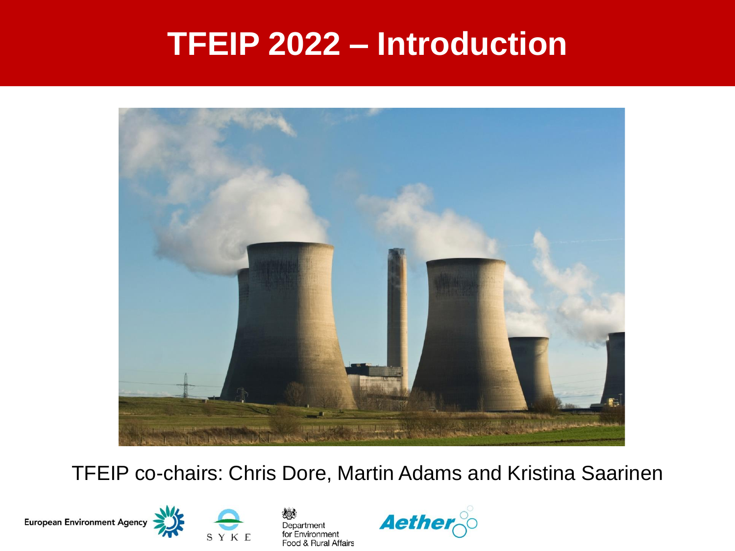### **TFEIP 2022 – Introduction**



#### TFEIP co-chairs: Chris Dore, Martin Adams and Kristina Saarinen

European Environment Agency





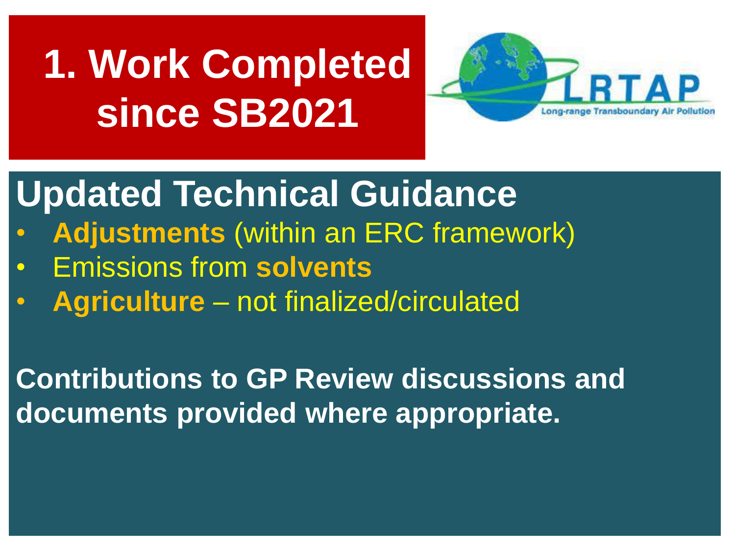# **1. Work Completed since SB2021**



## **Updated Technical Guidance**

- **Adjustments** (within an ERC framework)
- Emissions from **solvents**
- **Agriculture** not finalized/circulated

**Contributions to GP Review discussions and documents provided where appropriate.**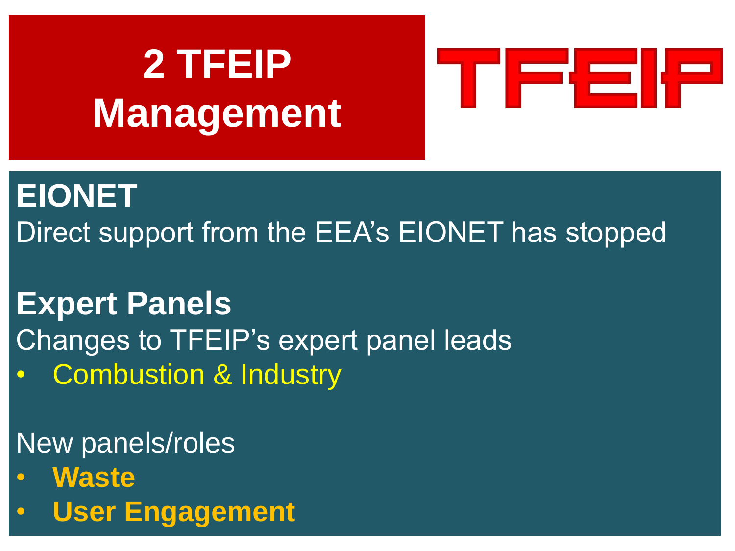# **2 TFEIP Management**



### **EIONET**

Direct support from the EEA's EIONET has stopped

### **Expert Panels**

- Changes to TFEIP's expert panel leads
- Combustion & Industry

#### New panels/roles

- **Waste**
- **User Engagement**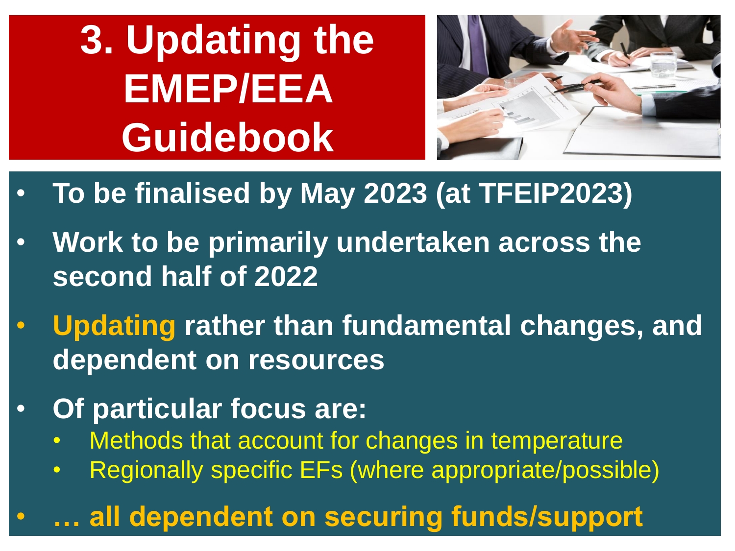**3. Updating the EMEP/EEA Guidebook**



- **To be finalised by May 2023 (at TFEIP2023)**
- **Work to be primarily undertaken across the second half of 2022**
- **Updating rather than fundamental changes, and dependent on resources**
- **Of particular focus are:**
	- Methods that account for changes in temperature
	- Regionally specific EFs (where appropriate/possible)

#### • **… all dependent on securing funds/support**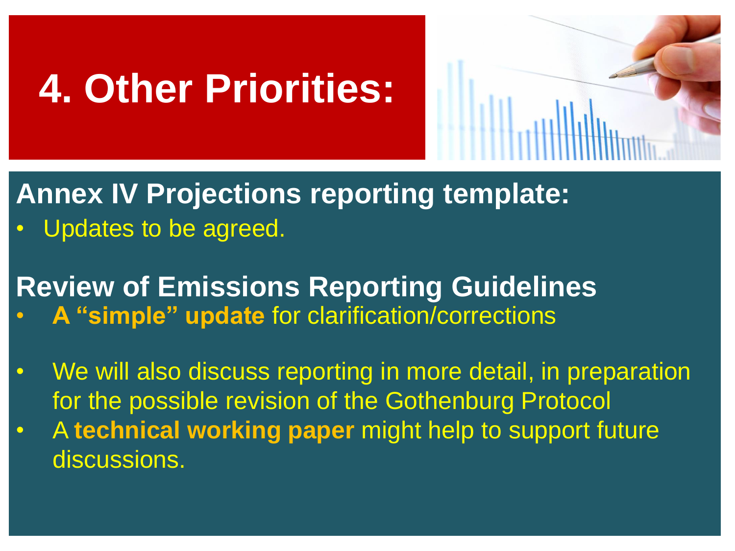# **4. Other Priorities:**



#### **Annex IV Projections reporting template:**

Updates to be agreed.

#### **Review of Emissions Reporting Guidelines** • **A "simple" update** for clarification/corrections

- We will also discuss reporting in more detail, in preparation for the possible revision of the Gothenburg Protocol
- A **technical working paper** might help to support future discussions.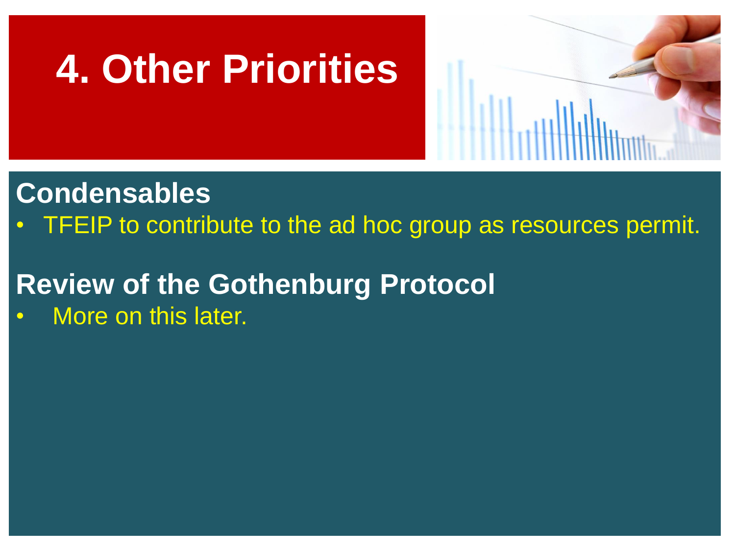



#### **Condensables**

• TFEIP to contribute to the ad hoc group as resources permit.

#### **Review of the Gothenburg Protocol**

More on this later.